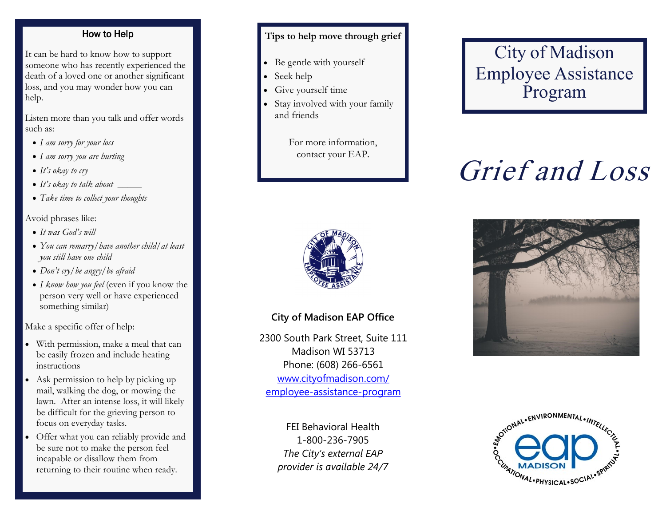#### How to Help

It can be hard to know how to support someone who has recently experienced the death of a loved one or another significant loss, and you may wonder how you can help.

Listen more than you talk and offer words such as:

- *I am sorry for your loss*
- *I am sorry you are hurting*
- *It's okay to cry*
- *It's okay to talk about \_\_\_\_\_*
- *Take time to collect your thoughts*

#### Avoid phrases like:

- *It was God's will*
- *You can remarry/have another child/at least you still have one child*
- *Don't cry/be angry/be afraid*
- *I know how you feel* (even if you know the person very well or have experienced something similar)

Make a specific offer of help:

- With permission, make a meal that can be easily frozen and include heating instructions
- Ask permission to help by picking up mail, walking the dog, or mowing the lawn. After an intense loss, it will likely be difficult for the grieving person to focus on everyday tasks.
- Offer what you can reliably provide and be sure not to make the person feel incapable or disallow them from returning to their routine when ready.

#### **Tips to help move through grief**

- Be gentle with yourself
- Seek help
- Give yourself time
- Stay involved with your family and friends

For more information, contact your EAP.



#### **City of Madison EAP Office**

2300 South Park Street, Suite 111 Madison WI 53713 Phone: (608) 266-6561 [www.cityofmadison.com/](http://www.cityofmadison.com/employee-assistance-program) [employee-assistance-program](http://www.cityofmadison.com/employee-assistance-program)

> FEI Behavioral Health 1-800-236-7905 *The City's external EAP provider is available 24/7*

# City of Madison Employee Assistance Program

# Grief and Loss